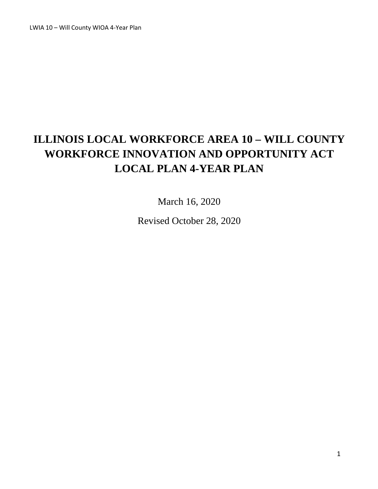LWIA 10 – Will County WIOA 4-Year Plan

# **ILLINOIS LOCAL WORKFORCE AREA 10 – WILL COUNTY WORKFORCE INNOVATION AND OPPORTUNITY ACT LOCAL PLAN 4-YEAR PLAN**

March 16, 2020

Revised October 28, 2020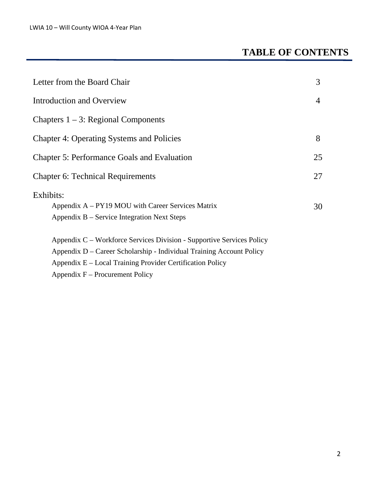# **TABLE OF CONTENTS**

| Letter from the Board Chair                                                                                                                                                                                                                     | 3              |
|-------------------------------------------------------------------------------------------------------------------------------------------------------------------------------------------------------------------------------------------------|----------------|
| Introduction and Overview                                                                                                                                                                                                                       | $\overline{4}$ |
| Chapters $1 - 3$ : Regional Components                                                                                                                                                                                                          |                |
| <b>Chapter 4: Operating Systems and Policies</b>                                                                                                                                                                                                | 8              |
| <b>Chapter 5: Performance Goals and Evaluation</b>                                                                                                                                                                                              | 25             |
| <b>Chapter 6: Technical Requirements</b>                                                                                                                                                                                                        | 27             |
| Exhibits:<br>Appendix A – PY19 MOU with Career Services Matrix<br>Appendix B – Service Integration Next Steps                                                                                                                                   | 30             |
| Appendix C – Workforce Services Division - Supportive Services Policy<br>Appendix D – Career Scholarship - Individual Training Account Policy<br>Appendix E – Local Training Provider Certification Policy<br>Appendix $F -$ Procurement Policy |                |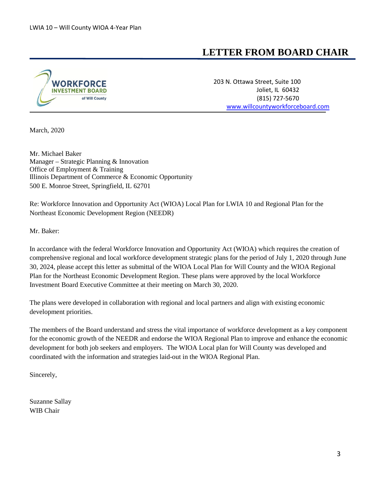### **LETTER FROM BOARD CHAIR**



**WORKFORCE** 203 N. Ottawa Street, Suite 100 Joliet, IL 60432 (815) 727-5670 [www.willcountyworkforceboard.com](http://www.willcountyworkforceboard.com/)

March, 2020

Mr. Michael Baker Manager – Strategic Planning & Innovation Office of Employment & Training Illinois Department of Commerce & Economic Opportunity 500 E. Monroe Street, Springfield, IL 62701

Re: Workforce Innovation and Opportunity Act (WIOA) Local Plan for LWIA 10 and Regional Plan for the Northeast Economic Development Region (NEEDR)

Mr. Baker:

In accordance with the federal Workforce Innovation and Opportunity Act (WIOA) which requires the creation of comprehensive regional and local workforce development strategic plans for the period of July 1, 2020 through June 30, 2024, please accept this letter as submittal of the WIOA Local Plan for Will County and the WIOA Regional Plan for the Northeast Economic Development Region. These plans were approved by the local Workforce Investment Board Executive Committee at their meeting on March 30, 2020.

The plans were developed in collaboration with regional and local partners and align with existing economic development priorities.

The members of the Board understand and stress the vital importance of workforce development as a key component for the economic growth of the NEEDR and endorse the WIOA Regional Plan to improve and enhance the economic development for both job seekers and employers. The WIOA Local plan for Will County was developed and coordinated with the information and strategies laid-out in the WIOA Regional Plan.

Sincerely,

Suzanne Sallay WIB Chair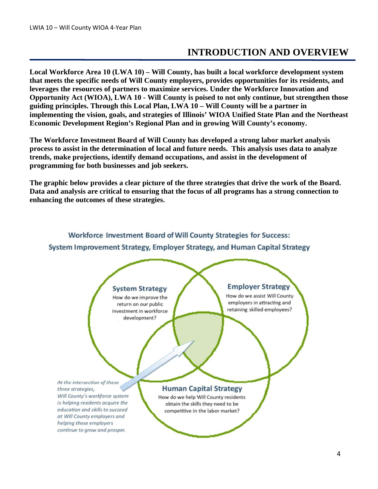## **INTRODUCTION AND OVERVIEW**

**Local Workforce Area 10 (LWA 10) – Will County, has built a local workforce development system that meets the specific needs of Will County employers, provides opportunities for its residents, and leverages the resources of partners to maximize services. Under the Workforce Innovation and Opportunity Act (WIOA), LWA 10 - Will County is poised to not only continue, but strengthen those guiding principles. Through this Local Plan, LWA 10 – Will County will be a partner in implementing the vision, goals, and strategies of Illinois' WIOA Unified State Plan and the Northeast Economic Development Region's Regional Plan and in growing Will County's economy.**

**The Workforce Investment Board of Will County has developed a strong labor market analysis process to assist in the determination of local and future needs. This analysis uses data to analyze trends, make projections, identify demand occupations, and assist in the development of programming for both businesses and job seekers.**

**The graphic below provides a clear picture of the three strategies that drive the work of the Board. Data and analysis are critical to ensuring that the focus of all programs has a strong connection to enhancing the outcomes of these strategies.**

#### Workforce Investment Board of Will County Strategies for Success:

System Improvement Strategy, Employer Strategy, and Human Capital Strategy

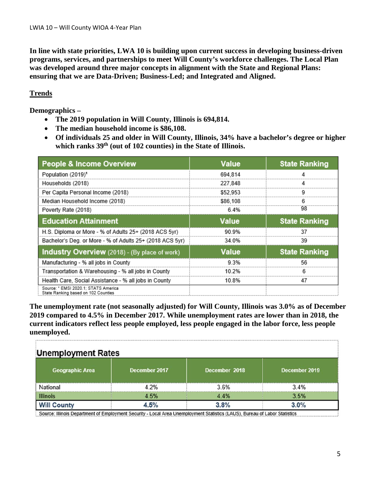**In line with state priorities, LWA 10 is building upon current success in developing business-driven programs, services, and partnerships to meet Will County's workforce challenges. The Local Plan was developed around three major concepts in alignment with the State and Regional Plans: ensuring that we are Data-Driven; Business-Led; and Integrated and Aligned.**

### **Trends**

**Demographics –**

- **The 2019 population in Will County, Illinois is 694,814.**
- **The median household income is \$86,108.**
- **Of individuals 25 and older in Will County, Illinois, 34% have a bachelor's degree or higher which ranks 39th (out of 102 counties) in the State of Illinois.**

| <b>People &amp; Income Overview</b>                                         | Value        | <b>State Ranking</b> |
|-----------------------------------------------------------------------------|--------------|----------------------|
| Population (2019) <sup>1</sup>                                              | 694.814      |                      |
| Households (2018)                                                           | 227.848      | 4                    |
| Per Capita Personal Income (2018)                                           | \$52,953     |                      |
| Median Household Income (2018)                                              | \$86,108     | 6                    |
| Poverty Rate (2018)                                                         | 6.4%         | 98                   |
| <b>Education Attainment</b>                                                 | <b>Value</b> | <b>State Ranking</b> |
| H.S. Diploma or More - % of Adults 25+ (2018 ACS 5yr)                       | 90.9%        | 37                   |
| Bachelor's Deg. or More - % of Adults 25+ (2018 ACS 5yr)                    | 34.0%        | 39                   |
| <b>Industry Overview</b> (2018) - (By place of work)                        | <b>Value</b> | <b>State Ranking</b> |
| Manufacturing - % all jobs in County                                        | 9.3%         | 56                   |
| Transportation & Warehousing - % all jobs in County                         | 10.2%        | 6                    |
| Health Care, Social Assistance - % all jobs in County                       | 10.8%        | 47                   |
| Source: ' EMSI 2020.1: STATS America<br>State Ranking based on 102 Counties |              |                      |

**The unemployment rate (not seasonally adjusted) for Will County, Illinois was 3.0% as of December 2019 compared to 4.5% in December 2017. While unemployment rates are lower than in 2018, the current indicators reflect less people employed, less people engaged in the labor force, less people unemployed.**

| <b>Unemployment Rates</b> |               |               |               |  |  |
|---------------------------|---------------|---------------|---------------|--|--|
| <b>Geographic Area</b>    | December 2017 | December 2018 | December 2019 |  |  |
| National                  | 42%           | 3.6%          | 3.4%          |  |  |
| <b>Illinois</b>           | 4.5%          | 4.4%          | 3.5%          |  |  |
| <b>Will County</b>        | 4.5%          | 3.8%          | 3.0%          |  |  |

Source: Illinois Department of Employment Security - Local Area Unemployment Statistics (LAUS), Bureau of Labor Statistics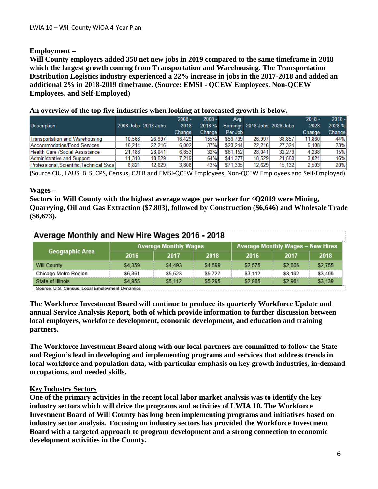### **Employment –**

**Will County employers added 350 net new jobs in 2019 compared to the same timeframe in 2018 which the largest growth coming from Transportation and Warehousing. The Transportation Distribution Logistics industry experienced a 22% increase in jobs in the 2017-2018 and added an additional 2% in 2018-2019 timeframe. (Source: EMSI - QCEW Employees, Non-QCEW Employees, and Self-Employed)**

|                                          |        |                     | $2008 -$ | $2008 -$ | Ava.     |                              |        | $2018 -$ | $2018 -$ |
|------------------------------------------|--------|---------------------|----------|----------|----------|------------------------------|--------|----------|----------|
| <b>Description</b>                       |        | 2008 Jobs 2018 Jobs | 2018     | 2018 %   |          | Earnings 2018 Jobs 2028 Jobs |        | 2028     | 2028 %   |
|                                          |        |                     | Change   | Change   | Per Job  |                              |        | Change   | Change   |
| <b>Transportation and Warehousing</b>    | 10.568 | 26.997              | 16.429   | 155%     | \$56,739 | 26.997                       | 38.857 | 11,860   | 44%      |
| Accommodation/Food Services              | 16.214 | 22.216              | 6.002    | 37%      | \$20,244 | 22.216                       | 27.324 | 5.108    | 23%      |
| <b>Health Care /Social Assistance</b>    | 21.188 | 28.041              | 6.853    | 32%      | \$61.152 | 28.041                       | 32.279 | 4.238    | 15%      |
| Administrative and Support               | 11.310 | 18.529              | 7.219    | 64%      | \$41.377 | 18.529                       | 21.550 | 3.021    | 16%      |
| Professional, Scientific, Technical Svcs | 8.821  | 12.629              | 3.808    | 43%      | \$71,335 | 12.629                       | 15.132 | 2.503    | 20%      |

**An overview of the top five industries when looking at forecasted growth is below.** 

(Source CIU, LAUS, BLS, CPS, Census, C2ER and EMSI-QCEW Employees, Non-QCEW Employees and Self-Employed)

#### **Wages –**

**Sectors in Will County with the highest average wages per worker for 4Q2019 were Mining, Quarrying, Oil and Gas Extraction (\$7,803), followed by Construction (\$6,646) and Wholesale Trade (\$6,673).**

| Average Monthly and New Hire Wages 2016 - 2018 |                              |         |         |                                          |         |         |
|------------------------------------------------|------------------------------|---------|---------|------------------------------------------|---------|---------|
|                                                | <b>Average Monthly Wages</b> |         |         | <b>Average Monthly Wages - New Hires</b> |         |         |
| Geographic Area                                | 2016                         | 2017    | 2018    | 2016                                     | 2017    | 2018    |
| Will County                                    | \$4.359                      | \$4,493 | \$4.599 | \$2.575                                  | \$2.606 | \$2.755 |
| Chicago Metro Region                           | \$5.361                      | \$5.523 | \$5,727 | \$3.112                                  | \$3.192 | \$3.409 |
| State of Illinois                              | \$4.955                      | \$5.112 | \$5.295 | \$2.865                                  | \$2.961 | \$3,139 |

Source: U.S. Census. Local Employment Dynamics......

**The Workforce Investment Board will continue to produce its quarterly Workforce Update and annual Service Analysis Report, both of which provide information to further discussion between local employers, workforce development, economic development, and education and training partners.** 

**The Workforce Investment Board along with our local partners are committed to follow the State and Region's lead in developing and implementing programs and services that address trends in local workforce and population data, with particular emphasis on key growth industries, in-demand occupations, and needed skills.** 

### **Key Industry Sectors**

**One of the primary activities in the recent local labor market analysis was to identify the key industry sectors which will drive the programs and activities of LWIA 10. The Workforce Investment Board of Will County has long been implementing programs and initiatives based on industry sector analysis. Focusing on industry sectors has provided the Workforce Investment Board with a targeted approach to program development and a strong connection to economic development activities in the County.**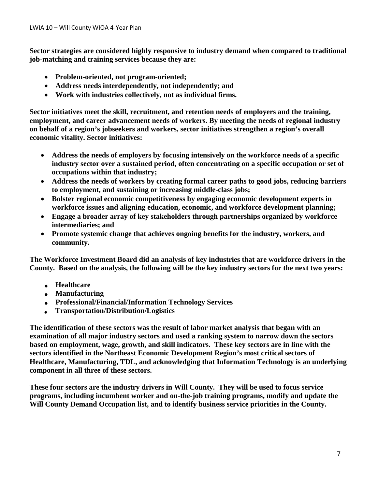**Sector strategies are considered highly responsive to industry demand when compared to traditional job-matching and training services because they are:**

- **Problem-oriented, not program-oriented;**
- **Address needs interdependently, not independently; and**
- **Work with industries collectively, not as individual firms.**

**Sector initiatives meet the skill, recruitment, and retention needs of employers and the training, employment, and career advancement needs of workers. By meeting the needs of regional industry on behalf of a region's jobseekers and workers, sector initiatives strengthen a region's overall economic vitality. Sector initiatives:**

- **Address the needs of employers by focusing intensively on the workforce needs of a specific industry sector over a sustained period, often concentrating on a specific occupation or set of occupations within that industry;**
- **Address the needs of workers by creating formal career paths to good jobs, reducing barriers to employment, and sustaining or increasing middle-class jobs;**
- **Bolster regional economic competitiveness by engaging economic development experts in workforce issues and aligning education, economic, and workforce development planning;**
- **Engage a broader array of key stakeholders through partnerships organized by workforce intermediaries; and**
- **Promote systemic change that achieves ongoing benefits for the industry, workers, and community.**

**The Workforce Investment Board did an analysis of key industries that are workforce drivers in the County. Based on the analysis, the following will be the key industry sectors for the next two years:**

- **Healthcare**
- **Manufacturing**
- **Professional/Financial/Information Technology Services**
- **Transportation/Distribution/Logistics**

**The identification of these sectors was the result of labor market analysis that began with an examination of all major industry sectors and used a ranking system to narrow down the sectors based on employment, wage, growth, and skill indicators. These key sectors are in line with the sectors identified in the Northeast Economic Development Region's most critical sectors of Healthcare, Manufacturing, TDL, and acknowledging that Information Technology is an underlying component in all three of these sectors.**

**These four sectors are the industry drivers in Will County. They will be used to focus service programs, including incumbent worker and on-the-job training programs, modify and update the Will County Demand Occupation list, and to identify business service priorities in the County.**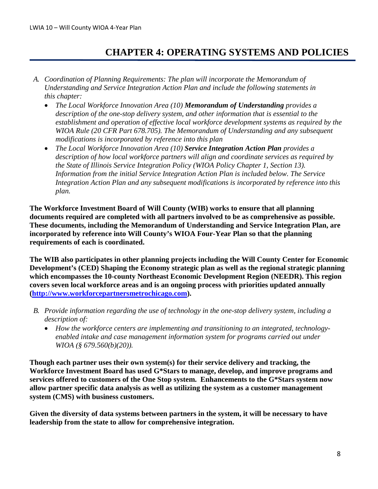### **CHAPTER 4: OPERATING SYSTEMS AND POLICIES**

- *A. Coordination of Planning Requirements: The plan will incorporate the Memorandum of Understanding and Service Integration Action Plan and include the following statements in this chapter:*
	- *The Local Workforce Innovation Area (10) Memorandum of Understanding provides a description of the one-stop delivery system, and other information that is essential to the establishment and operation of effective local workforce development systems as required by the WIOA Rule (20 CFR Part 678.705). The Memorandum of Understanding and any subsequent modifications is incorporated by reference into this plan*
	- *The Local Workforce Innovation Area (10) Service Integration Action Plan provides a description of how local workforce partners will align and coordinate services as required by the State of Illinois Service Integration Policy (WIOA Policy Chapter 1, Section 13). Information from the initial Service Integration Action Plan is included below. The Service Integration Action Plan and any subsequent modifications is incorporated by reference into this plan.*

**The Workforce Investment Board of Will County (WIB) works to ensure that all planning documents required are completed with all partners involved to be as comprehensive as possible. These documents, including the Memorandum of Understanding and Service Integration Plan, are incorporated by reference into Will County's WIOA Four-Year Plan so that the planning requirements of each is coordinated.** 

**The WIB also participates in other planning projects including the Will County Center for Economic Development's (CED) Shaping the Economy strategic plan as well as the regional strategic planning which encompasses the 10-county Northeast Economic Development Region (NEEDR). This region covers seven local workforce areas and is an ongoing process with priorities updated annually [\(http://www.workforcepartnersmetrochicago.com\)](http://www.workforcepartnersmetrochicago.com/).**

- *B. Provide information regarding the use of technology in the one-stop delivery system, including a description of:*
	- *How the workforce centers are implementing and transitioning to an integrated, technologyenabled intake and case management information system for programs carried out under WIOA (§ 679.560(b)(20)).*

**Though each partner uses their own system(s) for their service delivery and tracking, the Workforce Investment Board has used G\*Stars to manage, develop, and improve programs and services offered to customers of the One Stop system. Enhancements to the G\*Stars system now allow partner specific data analysis as well as utilizing the system as a customer management system (CMS) with business customers.**

**Given the diversity of data systems between partners in the system, it will be necessary to have leadership from the state to allow for comprehensive integration.**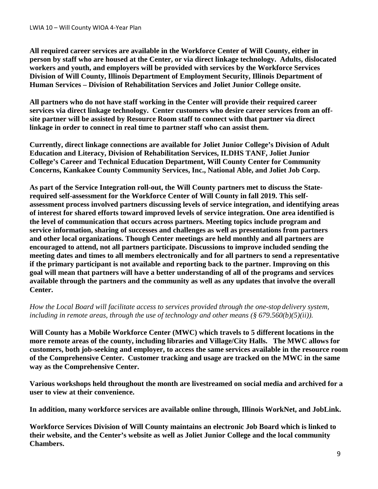**All required career services are available in the Workforce Center of Will County, either in person by staff who are housed at the Center, or via direct linkage technology. Adults, dislocated workers and youth, and employers will be provided with services by the Workforce Services Division of Will County, Illinois Department of Employment Security, Illinois Department of Human Services – Division of Rehabilitation Services and Joliet Junior College onsite.** 

**All partners who do not have staff working in the Center will provide their required career services via direct linkage technology. Center customers who desire career services from an offsite partner will be assisted by Resource Room staff to connect with that partner via direct linkage in order to connect in real time to partner staff who can assist them.**

**Currently, direct linkage connections are available for Joliet Junior College's Division of Adult Education and Literacy, Division of Rehabilitation Services, ILDHS TANF, Joliet Junior College's Career and Technical Education Department, Will County Center for Community Concerns, Kankakee County Community Services, Inc., National Able, and Joliet Job Corp.**

**As part of the Service Integration roll-out, the Will County partners met to discuss the Staterequired self-assessment for the Workforce Center of Will County in fall 2019. This selfassessment process involved partners discussing levels of service integration, and identifying areas of interest for shared efforts toward improved levels of service integration. One area identified is the level of communication that occurs across partners. Meeting topics include program and service information, sharing of successes and challenges as well as presentations from partners and other local organizations. Though Center meetings are held monthly and all partners are encouraged to attend, not all partners participate. Discussions to improve included sending the meeting dates and times to all members electronically and for all partners to send a representative if the primary participant is not available and reporting back to the partner. Improving on this goal will mean that partners will have a better understanding of all of the programs and services available through the partners and the community as well as any updates that involve the overall Center.**

*How the Local Board will facilitate access to services provided through the one-stop delivery system, including in remote areas, through the use of technology and other means (§ 679.560(b)(5)(ii)).*

**Will County has a Mobile Workforce Center (MWC) which travels to 5 different locations in the more remote areas of the county, including libraries and Village/City Halls. The MWC allows for customers, both job-seeking and employer, to access the same services available in the resource room of the Comprehensive Center. Customer tracking and usage are tracked on the MWC in the same way as the Comprehensive Center.** 

**Various workshops held throughout the month are livestreamed on social media and archived for a user to view at their convenience.** 

**In addition, many workforce services are available online through, Illinois WorkNet, and JobLink.** 

**Workforce Services Division of Will County maintains an electronic Job Board which is linked to their website, and the Center's website as well as Joliet Junior College and the local community Chambers.**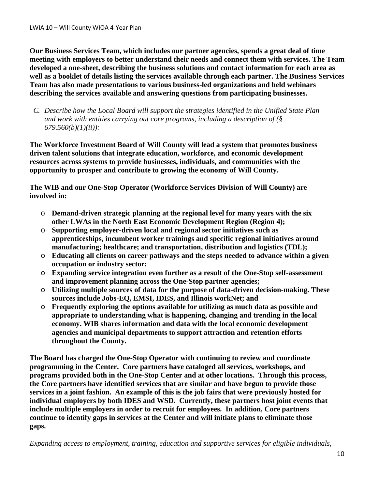**Our Business Services Team, which includes our partner agencies, spends a great deal of time meeting with employers to better understand their needs and connect them with services. The Team developed a one-sheet, describing the business solutions and contact information for each area as well as a booklet of details listing the services available through each partner. The Business Services Team has also made presentations to various business-led organizations and held webinars describing the services available and answering questions from participating businesses.**

*C. Describe how the Local Board will support the strategies identified in the Unified State Plan and work with entities carrying out core programs, including a description of (§ 679.560(b)(1)(ii)):*

**The Workforce Investment Board of Will County will lead a system that promotes business driven talent solutions that integrate education, workforce, and economic development resources across systems to provide businesses, individuals, and communities with the opportunity to prosper and contribute to growing the economy of Will County.** 

**The WIB and our One-Stop Operator (Workforce Services Division of Will County) are involved in:**

- o **Demand-driven strategic planning at the regional level for many years with the six other LWAs in the North East Economic Development Region (Region 4);**
- o **Supporting employer-driven local and regional sector initiatives such as apprenticeships, incumbent worker trainings and specific regional initiatives around manufacturing; healthcare; and transportation, distribution and logistics (TDL);**
- o **Educating all clients on career pathways and the steps needed to advance within a given occupation or industry sector;**
- o **Expanding service integration even further as a result of the One-Stop self-assessment and improvement planning across the One-Stop partner agencies;**
- o **Utilizing multiple sources of data for the purpose of data-driven decision-making. These sources include Jobs-EQ, EMSI, IDES, and Illinois workNet; and**
- o **Frequently exploring the options available for utilizing as much data as possible and appropriate to understanding what is happening, changing and trending in the local economy. WIB shares information and data with the local economic development agencies and municipal departments to support attraction and retention efforts throughout the County.**

**The Board has charged the One-Stop Operator with continuing to review and coordinate programming in the Center. Core partners have cataloged all services, workshops, and programs provided both in the One-Stop Center and at other locations. Through this process, the Core partners have identified services that are similar and have begun to provide those services in a joint fashion. An example of this is the job fairs that were previously hosted for individual employers by both IDES and WSD. Currently, these partners host joint events that include multiple employers in order to recruit for employees. In addition, Core partners continue to identify gaps in services at the Center and will initiate plans to eliminate those gaps.**

*Expanding access to employment, training, education and supportive services for eligible individuals,*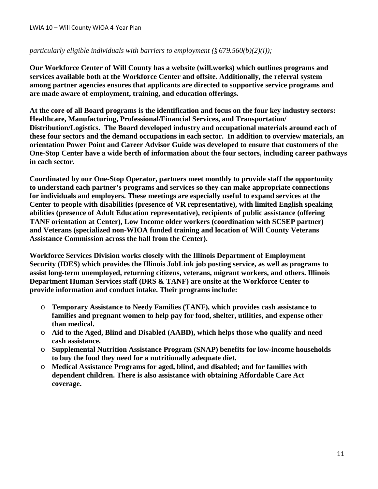#### *particularly eligible individuals with barriers to employment (§ 679.560(b)(2)(i));*

**Our Workforce Center of Will County has a website (will.works) which outlines programs and services available both at the Workforce Center and offsite. Additionally, the referral system among partner agencies ensures that applicants are directed to supportive service programs and are made aware of employment, training, and education offerings.** 

**At the core of all Board programs is the identification and focus on the four key industry sectors: Healthcare, Manufacturing, Professional/Financial Services, and Transportation/ Distribution/Logistics. The Board developed industry and occupational materials around each of these four sectors and the demand occupations in each sector. In addition to overview materials, an orientation Power Point and Career Advisor Guide was developed to ensure that customers of the One-Stop Center have a wide berth of information about the four sectors, including career pathways in each sector.** 

**Coordinated by our One-Stop Operator, partners meet monthly to provide staff the opportunity to understand each partner's programs and services so they can make appropriate connections for individuals and employers. These meetings are especially useful to expand services at the Center to people with disabilities (presence of VR representative), with limited English speaking abilities (presence of Adult Education representative), recipients of public assistance (offering TANF orientation at Center), Low Income older workers (coordination with SCSEP partner) and Veterans (specialized non-WIOA funded training and location of Will County Veterans Assistance Commission across the hall from the Center).** 

**Workforce Services Division works closely with the Illinois Department of Employment Security (IDES) which provides the Illinois JobLink job posting service, as well as programs to assist long-term unemployed, returning citizens, veterans, migrant workers, and others. Illinois Department Human Services staff (DRS & TANF) are onsite at the Workforce Center to provide information and conduct intake. Their programs include:**

- o **Temporary Assistance to Needy Families (TANF), which provides cash assistance to families and pregnant women to help pay for food, shelter, utilities, and expense other than medical.**
- o **Aid to the Aged, Blind and Disabled (AABD), which helps those who qualify and need cash assistance.**
- o **Supplemental Nutrition Assistance Program (SNAP) benefits for low-income households to buy the food they need for a nutritionally adequate diet.**
- o **Medical Assistance Programs for aged, blind, and disabled; and for families with dependent children. There is also assistance with obtaining Affordable Care Act coverage.**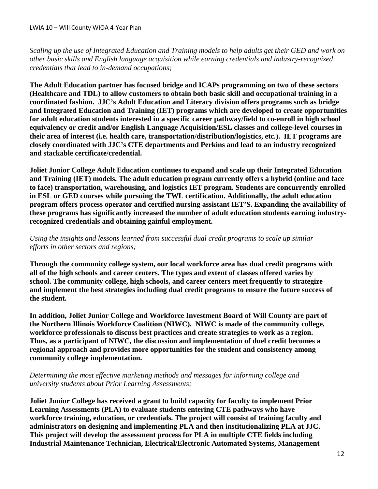*Scaling up the use of Integrated Education and Training models to help adults get their GED and work on other basic skills and English language acquisition while earning credentials and industry-recognized credentials that lead to in-demand occupations;*

**The Adult Education partner has focused bridge and ICAPs programming on two of these sectors (Healthcare and TDL) to allow customers to obtain both basic skill and occupational training in a coordinated fashion. JJC's Adult Education and Literacy division offers programs such as bridge and Integrated Education and Training (IET) programs which are developed to create opportunities for adult education students interested in a specific career pathway/field to co-enroll in high school equivalency or credit and/or English Language Acquisition/ESL classes and college-level courses in their area of interest (i.e. health care, transportation/distribution/logistics, etc.). IET programs are closely coordinated with JJC's CTE departments and Perkins and lead to an industry recognized and stackable certificate/credential.** 

**Joliet Junior College Adult Education continues to expand and scale up their Integrated Education and Training (IET) models. The adult education program currently offers a hybrid (online and face to face) transportation, warehousing, and logistics IET program. Students are concurrently enrolled in ESL or GED courses while pursuing the TWL certification. Additionally, the adult education program offers process operator and certified nursing assistant IET'S. Expanding the availability of these programs has significantly increased the number of adult education students earning industryrecognized credentials and obtaining gainful employment.**

*Using the insights and lessons learned from successful dual credit programs to scale up similar efforts in other sectors and regions;*

**Through the community college system, our local workforce area has dual credit programs with all of the high schools and career centers. The types and extent of classes offered varies by school. The community college, high schools, and career centers meet frequently to strategize and implement the best strategies including dual credit programs to ensure the future success of the student.** 

**In addition, Joliet Junior College and Workforce Investment Board of Will County are part of the Northern Illinois Workforce Coalition (NIWC). NIWC is made of the community college, workforce professionals to discuss best practices and create strategies to work as a region. Thus, as a participant of NIWC, the discussion and implementation of duel credit becomes a regional approach and provides more opportunities for the student and consistency among community college implementation.** 

*Determining the most effective marketing methods and messages for informing college and university students about Prior Learning Assessments;*

**Joliet Junior College has received a grant to build capacity for faculty to implement Prior Learning Assessments (PLA) to evaluate students entering CTE pathways who have workforce training, education, or credentials. The project will consist of training faculty and administrators on designing and implementing PLA and then institutionalizing PLA at JJC. This project will develop the assessment process for PLA in multiple CTE fields including Industrial Maintenance Technician, Electrical/Electronic Automated Systems, Management**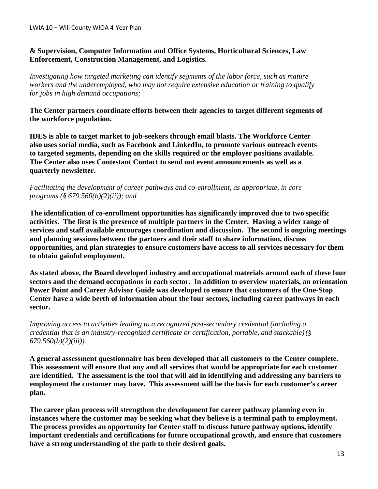#### **& Supervision, Computer Information and Office Systems, Horticultural Sciences, Law Enforcement, Construction Management, and Logistics.**

*Investigating how targeted marketing can identify segments of the labor force, such as mature workers and the underemployed, who may not require extensive education or training to qualify for jobs in high demand occupations;*

**The Center partners coordinate efforts between their agencies to target different segments of the workforce population.** 

**IDES is able to target market to job-seekers through email blasts. The Workforce Center also uses social media, such as Facebook and LinkedIn, to promote various outreach events to targeted segments, depending on the skills required or the employer positions available. The Center also uses Contestant Contact to send out event announcements as well as a quarterly newsletter.**

#### *Facilitating the development of career pathways and co-enrollment, as appropriate, in core programs (§ 679.560(b)(2)(ii)); and*

**The identification of co-enrollment opportunities has significantly improved due to two specific activities. The first is the presence of multiple partners in the Center. Having a wider range of services and staff available encourages coordination and discussion. The second is ongoing meetings and planning sessions between the partners and their staff to share information, discuss opportunities, and plan strategies to ensure customers have access to all services necessary for them to obtain gainful employment.**

**As stated above, the Board developed industry and occupational materials around each of these four sectors and the demand occupations in each sector. In addition to overview materials, an orientation Power Point and Career Advisor Guide was developed to ensure that customers of the One-Stop Center have a wide berth of information about the four sectors, including career pathways in each sector.**

*Improving access to activities leading to a recognized post-secondary credential (including a credential that is an industry-recognized certificate or certification, portable, and stackable)(§ 679.560(b)(2)(iii)).*

**A general assessment questionnaire has been developed that all customers to the Center complete. This assessment will ensure that any and all services that would be appropriate for each customer are identified. The assessment is the tool that will aid in identifying and addressing any barriers to employment the customer may have. This assessment will be the basis for each customer's career plan.**

**The career plan process will strengthen the development for career pathway planning even in instances where the customer may be seeking what they believe is a terminal path to employment. The process provides an opportunity for Center staff to discuss future pathway options, identify important credentials and certifications for future occupational growth, and ensure that customers have a strong understanding of the path to their desired goals.**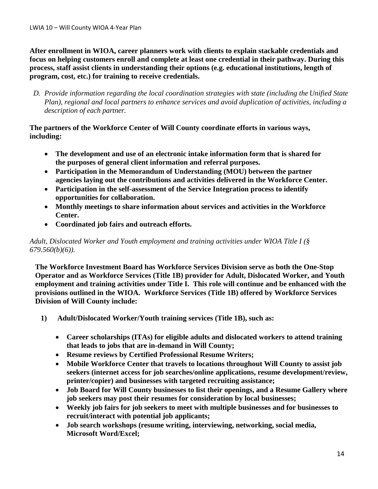**After enrollment in WIOA, career planners work with clients to explain stackable credentials and focus on helping customers enroll and complete at least one credential in their pathway. During this process, staff assist clients in understanding their options (e.g. educational institutions, length of program, cost, etc.) for training to receive credentials.** 

*D. Provide information regarding the local coordination strategies with state (including the Unified State Plan), regional and local partners to enhance services and avoid duplication of activities, including a description of each partner.*

**The partners of the Workforce Center of Will County coordinate efforts in various ways, including:**

- **The development and use of an electronic intake information form that is shared for the purposes of general client information and referral purposes.**
- **Participation in the Memorandum of Understanding (MOU) between the partner agencies laying out the contributions and activities delivered in the Workforce Center.**
- **Participation in the self-assessment of the Service Integration process to identify opportunities for collaboration.**
- **Monthly meetings to share information about services and activities in the Workforce Center.**
- **Coordinated job fairs and outreach efforts.**

#### *Adult, Dislocated Worker and Youth employment and training activities under WIOA Title I (§ 679.560(b)(6)).*

**The Workforce Investment Board has Workforce Services Division serve as both the One-Stop Operator and as Workforce Services (Title 1B) provider for Adult, Dislocated Worker, and Youth employment and training activities under Title I. This role will continue and be enhanced with the provisions outlined in the WIOA. Workforce Services (Title 1B) offered by Workforce Services Division of Will County include:**

- **1) Adult/Dislocated Worker/Youth training services (Title 1B), such as:**
	- **Career scholarships (ITAs) for eligible adults and dislocated workers to attend training that leads to jobs that are in-demand in Will County;**
	- **Resume reviews by Certified Professional Resume Writers;**
	- **Mobile Workforce Center that travels to locations throughout Will County to assist job seekers (internet access for job searches/online applications, resume development/review, printer/copier) and businesses with targeted recruiting assistance;**
	- **Job Board for Will County businesses to list their openings, and a Resume Gallery where job seekers may post their resumes for consideration by local businesses;**
	- **Weekly job fairs for job seekers to meet with multiple businesses and for businesses to recruit/interact with potential job applicants;**
	- **Job search workshops (resume writing, interviewing, networking, social media, Microsoft Word/Excel;**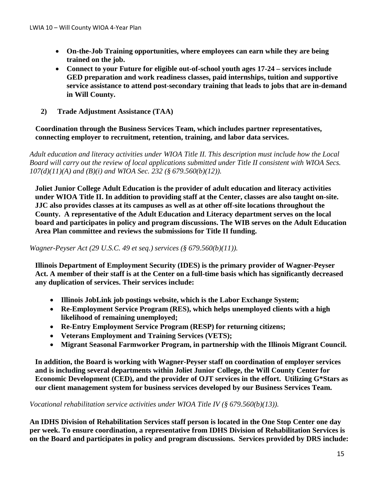- **On-the-Job Training opportunities, where employees can earn while they are being trained on the job.**
- **Connect to your Future for eligible out-of-school youth ages 17-24 – services include GED preparation and work readiness classes, paid internships, tuition and supportive service assistance to attend post-secondary training that leads to jobs that are in-demand in Will County.**
- **2) Trade Adjustment Assistance (TAA)**

### **Coordination through the Business Services Team, which includes partner representatives, connecting employer to recruitment, retention, training, and labor data services.**

*Adult education and literacy activities under WIOA Title II. This description must include how the Local Board will carry out the review of local applications submitted under Title II consistent with WIOA Secs. 107(d)(11)(A) and (B)(i) and WIOA Sec. 232 (§ 679.560(b)(12)).*

**Joliet Junior College Adult Education is the provider of adult education and literacy activities under WIOA Title II. In addition to providing staff at the Center, classes are also taught on-site. JJC also provides classes at its campuses as well as at other off-site locations throughout the County. A representative of the Adult Education and Literacy department serves on the local board and participates in policy and program discussions. The WIB serves on the Adult Education Area Plan committee and reviews the submissions for Title II funding.** 

*Wagner-Peyser Act (29 U.S.C. 49 et seq.) services (§ 679.560(b)(11)).*

**Illinois Department of Employment Security (IDES) is the primary provider of Wagner-Peyser Act. A member of their staff is at the Center on a full-time basis which has significantly decreased any duplication of services. Their services include:**

- **Illinois JobLink job postings website, which is the Labor Exchange System;**
- **Re-Employment Service Program (RES), which helps unemployed clients with a high likelihood of remaining unemployed;**
- **Re-Entry Employment Service Program (RESP) for returning citizens;**
- **Veterans Employment and Training Services (VETS);**
- **Migrant Seasonal Farmworker Program, in partnership with the Illinois Migrant Council.**

**In addition, the Board is working with Wagner-Peyser staff on coordination of employer services and is including several departments within Joliet Junior College, the Will County Center for Economic Development (CED), and the provider of OJT services in the effort. Utilizing G\*Stars as our client management system for business services developed by our Business Services Team.** 

*Vocational rehabilitation service activities under WIOA Title IV (§ 679.560(b)(13)).*

**An IDHS Division of Rehabilitation Services staff person is located in the One Stop Center one day per week. To ensure coordination, a representative from IDHS Division of Rehabilitation Services is on the Board and participates in policy and program discussions. Services provided by DRS include:**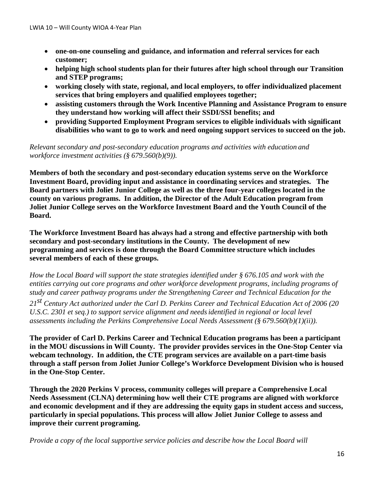- **one-on-one counseling and guidance, and information and referral services for each customer;**
- **helping high school students plan for their futures after high school through our Transition and STEP programs;**
- **working closely with state, regional, and local employers, to offer individualized placement services that bring employers and qualified employees together;**
- **assisting customers through the Work Incentive Planning and Assistance Program to ensure they understand how working will affect their SSDI/SSI benefits; and**
- **providing Supported Employment Program services to eligible individuals with significant disabilities who want to go to work and need ongoing support services to succeed on the job.**

*Relevant secondary and post-secondary education programs and activities with education and workforce investment activities (§ 679.560(b)(9)).*

**Members of both the secondary and post-secondary education systems serve on the Workforce Investment Board, providing input and assistance in coordinating services and strategies. The Board partners with Joliet Junior College as well as the three four-year colleges located in the county on various programs. In addition, the Director of the Adult Education program from Joliet Junior College serves on the Workforce Investment Board and the Youth Council of the Board.** 

**The Workforce Investment Board has always had a strong and effective partnership with both secondary and post-secondary institutions in the County. The development of new programming and services is done through the Board Committee structure which includes several members of each of these groups.** 

*How the Local Board will support the state strategies identified under § 676.105 and work with the entities carrying out core programs and other workforce development programs, including programs of study and career pathway programs under the Strengthening Career and Technical Education for the* 

*21st Century Act authorized under the Carl D. Perkins Career and Technical Education Act of 2006 (20 U.S.C. 2301 et seq.) to support service alignment and needsidentified in regional or local level assessments including the Perkins Comprehensive Local Needs Assessment (§ 679.560(b)(1)(ii)).*

**The provider of Carl D. Perkins Career and Technical Education programs has been a participant in the MOU discussions in Will County. The provider provides services in the One-Stop Center via webcam technology. In addition, the CTE program services are available on a part-time basis through a staff person from Joliet Junior College's Workforce Development Division who is housed in the One-Stop Center.**

**Through the 2020 Perkins V process, community colleges will prepare a Comprehensive Local Needs Assessment (CLNA) determining how well their CTE programs are aligned with workforce and economic development and if they are addressing the equity gaps in student access and success, particularly in special populations. This process will allow Joliet Junior College to assess and improve their current programing.**

*Provide a copy of the local supportive service policies and describe how the Local Board will*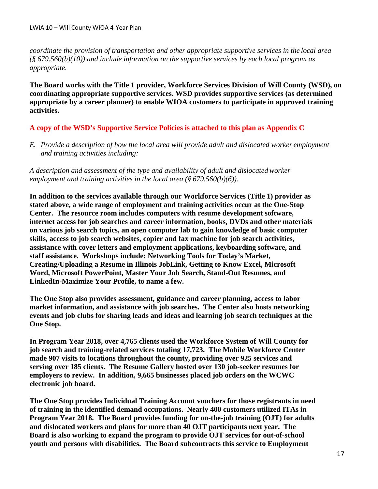*coordinate the provision of transportation and other appropriate supportive services in the local area (§ 679.560(b)(10)) and include information on the supportive services by each local program as appropriate.*

**The Board works with the Title 1 provider, Workforce Services Division of Will County (WSD), on coordinating appropriate supportive services. WSD provides supportive services (as determined appropriate by a career planner) to enable WIOA customers to participate in approved training activities.**

### **A copy of the WSD's Supportive Service Policies is attached to this plan as Appendix C**

*E. Provide a description of how the local area will provide adult and dislocated worker employment and training activities including:*

*A description and assessment of the type and availability of adult and dislocated worker employment and training activities in the local area (§ 679.560(b)(6)).*

**In addition to the services available through our Workforce Services (Title 1) provider as stated above, a wide range of employment and training activities occur at the One-Stop Center. The resource room includes computers with resume development software, internet access for job searches and career information, books, DVDs and other materials on various job search topics, an open computer lab to gain knowledge of basic computer skills, access to job search websites, copier and fax machine for job search activities, assistance with cover letters and employment applications, keyboarding software, and staff assistance. Workshops include: Networking Tools for Today's Market, Creating/Uploading a Resume in Illinois JobLink, Getting to Know Excel, Microsoft Word, Microsoft PowerPoint, Master Your Job Search, Stand-Out Resumes, and LinkedIn-Maximize Your Profile, to name a few.**

**The One Stop also provides assessment, guidance and career planning, access to labor market information, and assistance with job searches. The Center also hosts networking events and job clubs for sharing leads and ideas and learning job search techniques at the One Stop.**

**In Program Year 2018, over 4,765 clients used the Workforce System of Will County for job search and training-related services totaling 17,723. The Mobile Workforce Center made 907 visits to locations throughout the county, providing over 925 services and serving over 185 clients. The Resume Gallery hosted over 130 job-seeker resumes for employers to review. In addition, 9,665 businesses placed job orders on the WCWC electronic job board.** 

**The One Stop provides Individual Training Account vouchers for those registrants in need of training in the identified demand occupations. Nearly 400 customers utilized ITAs in Program Year 2018. The Board provides funding for on-the-job training (OJT) for adults and dislocated workers and plans for more than 40 OJT participants next year. The Board is also working to expand the program to provide OJT services for out-of-school youth and persons with disabilities. The Board subcontracts this service to Employment**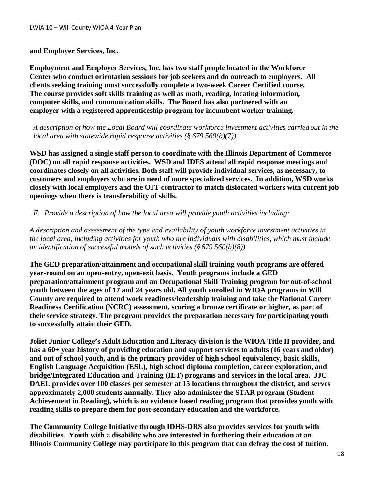#### **and Employer Services, Inc.**

**Employment and Employer Services, Inc. has two staff people located in the Workforce Center who conduct orientation sessions for job seekers and do outreach to employers. All clients seeking training must successfully complete a two-week Career Certified course. The course provides soft skills training as well as math, reading, locating information, computer skills, and communication skills. The Board has also partnered with an employer with a registered apprenticeship program for incumbent worker training.**

*A description of how the Local Board will coordinate workforce investment activities carried out in the local area with statewide rapid response activities (§ 679.560(b)(7)).*

**WSD has assigned a single staff person to coordinate with the Illinois Department of Commerce (DOC) on all rapid response activities. WSD and IDES attend all rapid response meetings and coordinates closely on all activities. Both staff will provide individual services, as necessary, to customers and employers who are in need of more specialized services. In addition, WSD works closely with local employers and the OJT contractor to match dislocated workers with current job openings when there is transferability of skills.**

#### *F. Provide a description of how the local area will provide youth activities including:*

*A description and assessment of the type and availability of youth workforce investment activities in the local area, including activities for youth who are individuals with disabilities, which must include an identification of successful models of such activities (§ 679.560(b)(8)).*

**The GED preparation/attainment and occupational skill training youth programs are offered year-round on an open-entry, open-exit basis. Youth programs include a GED preparation/attainment program and an Occupational Skill Training program for out-of-school youth between the ages of 17 and 24 years old. All youth enrolled in WIOA programs in Will County are required to attend work readiness/leadership training and take the National Career Readiness Certification (NCRC) assessment, scoring a bronze certificate or higher, as part of their service strategy. The program provides the preparation necessary for participating youth to successfully attain their GED.** 

**Joliet Junior College's Adult Education and Literacy division is the WIOA Title II provider, and has a 60+ year history of providing education and support services to adults (16 years and older) and out of school youth, and is the primary provider of high school equivalency, basic skills, English Language Acquisition (ESL), high school diploma completion, career exploration, and bridge/Integrated Education and Training (IET) programs and services in the local area. JJC DAEL provides over 100 classes per semester at 15 locations throughout the district, and serves approximately 2,000 students annually. They also administer the STAR program (Student Achievement in Reading), which is an evidence based reading program that provides youth with reading skills to prepare them for post-secondary education and the workforce.**

**The Community College Initiative through IDHS-DRS also provides services for youth with disabilities. Youth with a disability who are interested in furthering their education at an Illinois Community College may participate in this program that can defray the cost of tuition.**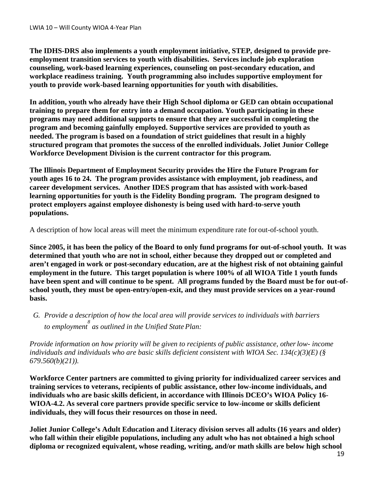**The IDHS-DRS also implements a youth employment initiative, STEP, designed to provide preemployment transition services to youth with disabilities. Services include job exploration counseling, work-based learning experiences, counseling on post-secondary education, and workplace readiness training. Youth programming also includes supportive employment for youth to provide work-based learning opportunities for youth with disabilities.**

**In addition, youth who already have their High School diploma or GED can obtain occupational training to prepare them for entry into a demand occupation. Youth participating in these programs may need additional supports to ensure that they are successful in completing the program and becoming gainfully employed. Supportive services are provided to youth as needed. The program is based on a foundation of strict guidelines that result in a highly structured program that promotes the success of the enrolled individuals. Joliet Junior College Workforce Development Division is the current contractor for this program.** 

**The Illinois Department of Employment Security provides the Hire the Future Program for youth ages 16 to 24. The program provides assistance with employment, job readiness, and career development services. Another IDES program that has assisted with work-based learning opportunities for youth is the Fidelity Bonding program. The program designed to protect employers against employee dishonesty is being used with hard-to-serve youth populations.**

A description of how local areas will meet the minimum expenditure rate for out-of-school youth.

**Since 2005, it has been the policy of the Board to only fund programs for out-of-school youth. It was determined that youth who are not in school, either because they dropped out or completed and aren't engaged in work or post-secondary education, are at the highest risk of not obtaining gainful employment in the future. This target population is where 100% of all WIOA Title 1 youth funds have been spent and will continue to be spent. All programs funded by the Board must be for out-ofschool youth, they must be open-entry/open-exit, and they must provide services on a year-round basis.** 

*G. Provide a description of how the local area will provide services to individuals with barriers to employment 8 as outlined in the Unified State Plan:*

*Provide information on how priority will be given to recipients of public assistance, otherlow- income individuals and individuals who are basic skills deficient consistent with WIOA Sec. 134(c)(3)(E) (§ 679.560(b)(21)).*

**Workforce Center partners are committed to giving priority for individualized career services and training services to veterans, recipients of public assistance, other low-income individuals, and individuals who are basic skills deficient, in accordance with Illinois DCEO's WIOA Policy 16- WIOA-4.2. As several core partners provide specific service to low-income or skills deficient individuals, they will focus their resources on those in need.**

**Joliet Junior College's Adult Education and Literacy division serves all adults (16 years and older) who fall within their eligible populations, including any adult who has not obtained a high school diploma or recognized equivalent, whose reading, writing, and/or math skills are below high school**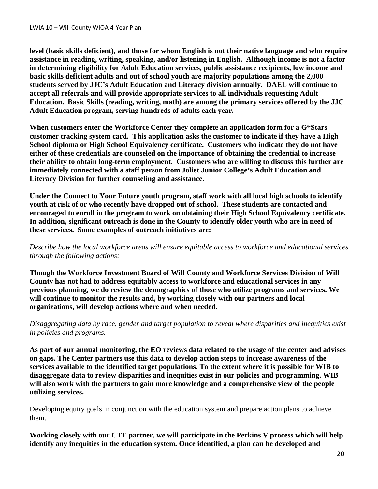**level (basic skills deficient), and those for whom English is not their native language and who require assistance in reading, writing, speaking, and/or listening in English. Although income is not a factor in determining eligibility for Adult Education services, public assistance recipients, low income and basic skills deficient adults and out of school youth are majority populations among the 2,000 students served by JJC's Adult Education and Literacy division annually. DAEL will continue to accept all referrals and will provide appropriate services to all individuals requesting Adult Education. Basic Skills (reading, writing, math) are among the primary services offered by the JJC Adult Education program, serving hundreds of adults each year.**

**When customers enter the Workforce Center they complete an application form for a G\*Stars customer tracking system card. This application asks the customer to indicate if they have a High School diploma or High School Equivalency certificate. Customers who indicate they do not have either of these credentials are counseled on the importance of obtaining the credential to increase their ability to obtain long-term employment. Customers who are willing to discuss this further are immediately connected with a staff person from Joliet Junior College's Adult Education and Literacy Division for further counseling and assistance.** 

**Under the Connect to Your Future youth program, staff work with all local high schools to identify youth at risk of or who recently have dropped out of school. These students are contacted and encouraged to enroll in the program to work on obtaining their High School Equivalency certificate. In addition, significant outreach is done in the County to identify older youth who are in need of these services. Some examples of outreach initiatives are:**

*Describe how the local workforce areas will ensure equitable access to workforce and educational services through the following actions:*

**Though the Workforce Investment Board of Will County and Workforce Services Division of Will County has not had to address equitably access to workforce and educational services in any previous planning, we do review the demographics of those who utilize programs and services. We will continue to monitor the results and, by working closely with our partners and local organizations, will develop actions where and when needed.**

*Disaggregating data by race, gender and target population to reveal where disparities and inequities exist in policies and programs.*

**As part of our annual monitoring, the EO reviews data related to the usage of the center and advises on gaps. The Center partners use this data to develop action steps to increase awareness of the services available to the identified target populations. To the extent where it is possible for WIB to disaggregate data to review disparities and inequities exist in our policies and programming. WIB will also work with the partners to gain more knowledge and a comprehensive view of the people utilizing services.**

Developing equity goals in conjunction with the education system and prepare action plans to achieve them.

**Working closely with our CTE partner, we will participate in the Perkins V process which will help identify any inequities in the education system. Once identified, a plan can be developed and**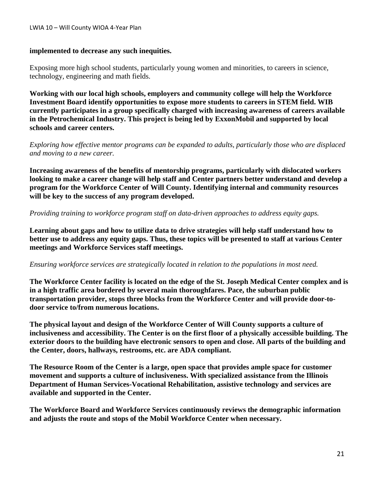#### LWIA 10 – Will County WIOA 4-Year Plan

#### **implemented to decrease any such inequities.**

Exposing more high school students, particularly young women and minorities, to careers in science, technology, engineering and math fields.

**Working with our local high schools, employers and community college will help the Workforce Investment Board identify opportunities to expose more students to careers in STEM field. WIB currently participates in a group specifically charged with increasing awareness of careers available in the Petrochemical Industry. This project is being led by ExxonMobil and supported by local schools and career centers.**

*Exploring how effective mentor programs can be expanded to adults, particularly those who are displaced and moving to a new career.*

**Increasing awareness of the benefits of mentorship programs, particularly with dislocated workers looking to make a career change will help staff and Center partners better understand and develop a program for the Workforce Center of Will County. Identifying internal and community resources will be key to the success of any program developed.**

*Providing training to workforce program staff on data-driven approaches to address equity gaps.*

**Learning about gaps and how to utilize data to drive strategies will help staff understand how to better use to address any equity gaps. Thus, these topics will be presented to staff at various Center meetings and Workforce Services staff meetings.**

#### *Ensuring workforce services are strategically located in relation to the populations in most need.*

**The Workforce Center facility is located on the edge of the St. Joseph Medical Center complex and is in a high traffic area bordered by several main thoroughfares. Pace, the suburban public transportation provider, stops three blocks from the Workforce Center and will provide door-todoor service to/from numerous locations.**

**The physical layout and design of the Workforce Center of Will County supports a culture of inclusiveness and accessibility. The Center is on the first floor of a physically accessible building. The exterior doors to the building have electronic sensors to open and close. All parts of the building and the Center, doors, hallways, restrooms, etc. are ADA compliant.**

**The Resource Room of the Center is a large, open space that provides ample space for customer movement and supports a culture of inclusiveness. With specialized assistance from the Illinois Department of Human Services-Vocational Rehabilitation, assistive technology and services are available and supported in the Center.**

**The Workforce Board and Workforce Services continuously reviews the demographic information and adjusts the route and stops of the Mobil Workforce Center when necessary.**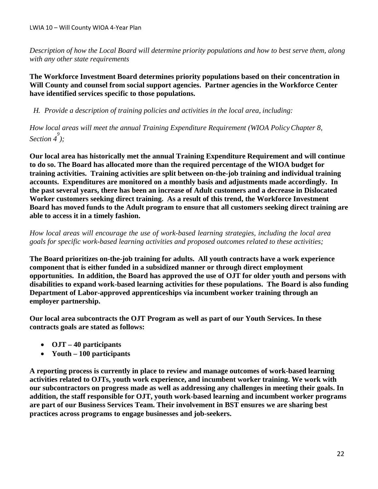*Description of how the Local Board will determine priority populations and how to best serve them, along with any other state requirements* 

**The Workforce Investment Board determines priority populations based on their concentration in Will County and counsel from social support agencies. Partner agencies in the Workforce Center have identified services specific to those populations.** 

*H. Provide a description of training policies and activities in the local area, including:*

*How local areas will meet the annual Training Expenditure Requirement (WIOA PolicyChapter 8, Section 4 9 );*

**Our local area has historically met the annual Training Expenditure Requirement and will continue to do so. The Board has allocated more than the required percentage of the WIOA budget for training activities. Training activities are split between on-the-job training and individual training accounts. Expenditures are monitored on a monthly basis and adjustments made accordingly. In the past several years, there has been an increase of Adult customers and a decrease in Dislocated Worker customers seeking direct training. As a result of this trend, the Workforce Investment Board has moved funds to the Adult program to ensure that all customers seeking direct training are able to access it in a timely fashion.** 

*How local areas will encourage the use of work-based learning strategies, including the local area goals for specific work-based learning activities and proposed outcomes related to these activities;*

**The Board prioritizes on-the-job training for adults. All youth contracts have a work experience component that is either funded in a subsidized manner or through direct employment opportunities. In addition, the Board has approved the use of OJT for older youth and persons with disabilities to expand work-based learning activities for these populations. The Board is also funding Department of Labor-approved apprenticeships via incumbent worker training through an employer partnership.**

**Our local area subcontracts the OJT Program as well as part of our Youth Services. In these contracts goals are stated as follows:** 

- **OJT – 40 participants**
- **Youth – 100 participants**

**A reporting process is currently in place to review and manage outcomes of work-based learning activities related to OJTs, youth work experience, and incumbent worker training. We work with our subcontractors on progress made as well as addressing any challenges in meeting their goals. In addition, the staff responsible for OJT, youth work-based learning and incumbent worker programs are part of our Business Services Team. Their involvement in BST ensures we are sharing best practices across programs to engage businesses and job-seekers.**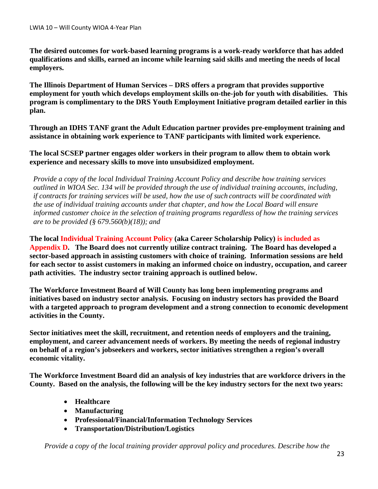**The desired outcomes for work-based learning programs is a work-ready workforce that has added qualifications and skills, earned an income while learning said skills and meeting the needs of local employers.**

**The Illinois Department of Human Services – DRS offers a program that provides supportive employment for youth which develops employment skills on-the-job for youth with disabilities. This program is complimentary to the DRS Youth Employment Initiative program detailed earlier in this plan.**

**Through an IDHS TANF grant the Adult Education partner provides pre-employment training and assistance in obtaining work experience to TANF participants with limited work experience.**

**The local SCSEP partner engages older workers in their program to allow them to obtain work experience and necessary skills to move into unsubsidized employment.**

*Provide a copy of the local Individual Training Account Policy and describe how training services outlined in WIOA Sec. 134 will be provided through the use of individual training accounts, including, if contracts for training services will be used, how the use of such contracts will be coordinated with the use of individual training accounts under that chapter, and how the Local Board will ensure informed customer choice in the selection of training programs regardless of how the training services are to be provided (§ 679.560(b)(18)); and*

**The local Individual Training Account Policy (aka Career Scholarship Policy) is included as Appendix D. The Board does not currently utilize contract training. The Board has developed a sector-based approach in assisting customers with choice of training. Information sessions are held for each sector to assist customers in making an informed choice on industry, occupation, and career path activities. The industry sector training approach is outlined below.**

**The Workforce Investment Board of Will County has long been implementing programs and initiatives based on industry sector analysis. Focusing on industry sectors has provided the Board with a targeted approach to program development and a strong connection to economic development activities in the County.** 

**Sector initiatives meet the skill, recruitment, and retention needs of employers and the training, employment, and career advancement needs of workers. By meeting the needs of regional industry on behalf of a region's jobseekers and workers, sector initiatives strengthen a region's overall economic vitality.** 

**The Workforce Investment Board did an analysis of key industries that are workforce drivers in the County. Based on the analysis, the following will be the key industry sectors for the next two years:**

- **Healthcare**
- **Manufacturing**
- **Professional/Financial/Information Technology Services**
- **Transportation/Distribution/Logistics**

*Provide a copy of the local training provider approval policy and procedures. Describe how the*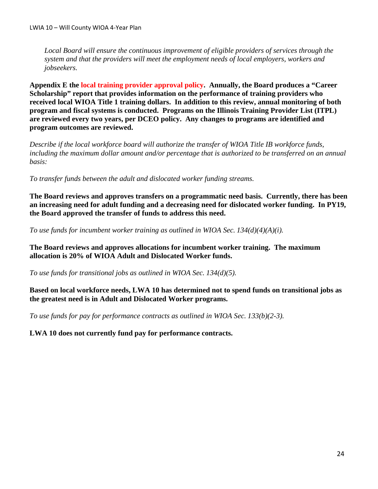*Local Board will ensure the continuous improvement of eligible providers of services through the system and that the providers will meet the employment needs of local employers, workers and jobseekers.*

**Appendix E the local training provider approval policy. Annually, the Board produces a "Career Scholarship" report that provides information on the performance of training providers who received local WIOA Title 1 training dollars. In addition to this review, annual monitoring of both program and fiscal systems is conducted. Programs on the Illinois Training Provider List (ITPL) are reviewed every two years, per DCEO policy. Any changes to programs are identified and program outcomes are reviewed.**

*Describe if the local workforce board will authorize the transfer of WIOA Title IB workforce funds, including the maximum dollar amount and/or percentage that is authorized to be transferred on an annual basis:*

*To transfer funds between the adult and dislocated worker funding streams.*

**The Board reviews and approves transfers on a programmatic need basis. Currently, there has been an increasing need for adult funding and a decreasing need for dislocated worker funding. In PY19, the Board approved the transfer of funds to address this need.**

*To use funds for incumbent worker training as outlined in WIOA Sec. 134(d)(4)(A)(i).*

**The Board reviews and approves allocations for incumbent worker training. The maximum allocation is 20% of WIOA Adult and Dislocated Worker funds.** 

*To use funds for transitional jobs as outlined in WIOA Sec. 134(d)(5).*

**Based on local workforce needs, LWA 10 has determined not to spend funds on transitional jobs as the greatest need is in Adult and Dislocated Worker programs.** 

*To use funds for pay for performance contracts as outlined in WIOA Sec. 133(b)(2-3).*

**LWA 10 does not currently fund pay for performance contracts.**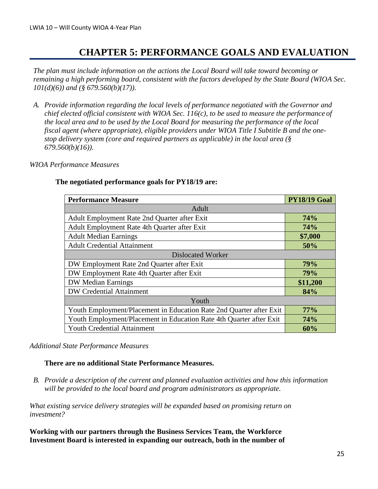### **CHAPTER 5: PERFORMANCE GOALS AND EVALUATION**

*The plan must include information on the actions the Local Board will take toward becoming or remaining a high performing board, consistent with the factors developed by the State Board (WIOA Sec. 101(d)(6)) and (§ 679.560(b)(17)).*

*A. Provide information regarding the local levels of performance negotiated with the Governor and chief elected official consistent with WIOA Sec. 116(c), to be used to measure the performance of the local area and to be used by the Local Board for measuring the performance of the local fiscal agent (where appropriate), eligible providers under WIOA Title I Subtitle B and the onestop delivery system (core and required partners as applicable) in the local area (§ 679.560(b)(16)).*

#### *WIOA Performance Measures*

| <b>Performance Measure</b>                                          | <b>PY18/19 Goal</b> |  |  |  |
|---------------------------------------------------------------------|---------------------|--|--|--|
| Adult                                                               |                     |  |  |  |
| Adult Employment Rate 2nd Quarter after Exit                        | <b>74%</b>          |  |  |  |
| Adult Employment Rate 4th Quarter after Exit                        | <b>74%</b>          |  |  |  |
| <b>Adult Median Earnings</b>                                        | \$7,000             |  |  |  |
| <b>Adult Credential Attainment</b>                                  | 50%                 |  |  |  |
| <b>Dislocated Worker</b>                                            |                     |  |  |  |
| DW Employment Rate 2nd Quarter after Exit                           | 79%                 |  |  |  |
| DW Employment Rate 4th Quarter after Exit                           | 79%                 |  |  |  |
| <b>DW Median Earnings</b>                                           | \$11,200            |  |  |  |
| <b>DW Credential Attainment</b>                                     | 84%                 |  |  |  |
| Youth                                                               |                     |  |  |  |
| Youth Employment/Placement in Education Rate 2nd Quarter after Exit | 77%                 |  |  |  |
| Youth Employment/Placement in Education Rate 4th Quarter after Exit | <b>74%</b>          |  |  |  |
| <b>Youth Credential Attainment</b>                                  | 60%                 |  |  |  |

#### **The negotiated performance goals for PY18/19 are:**

#### *Additional State Performance Measures*

#### **There are no additional State Performance Measures.**

*B. Provide a description of the current and planned evaluation activities and how this information will be provided to the local board and program administrators as appropriate.*

*What existing service delivery strategies will be expanded based on promising return on investment?*

**Working with our partners through the Business Services Team, the Workforce Investment Board is interested in expanding our outreach, both in the number of**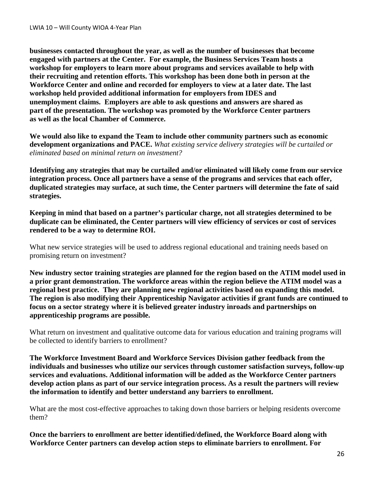**businesses contacted throughout the year, as well as the number of businesses that become engaged with partners at the Center. For example, the Business Services Team hosts a workshop for employers to learn more about programs and services available to help with their recruiting and retention efforts. This workshop has been done both in person at the Workforce Center and online and recorded for employers to view at a later date. The last workshop held provided additional information for employers from IDES and unemployment claims. Employers are able to ask questions and answers are shared as part of the presentation. The workshop was promoted by the Workforce Center partners as well as the local Chamber of Commerce.**

**We would also like to expand the Team to include other community partners such as economic development organizations and PACE.** *What existing service delivery strategies will be curtailed or eliminated based on minimal return on investment?*

**Identifying any strategies that may be curtailed and/or eliminated will likely come from our service integration process. Once all partners have a sense of the programs and services that each offer, duplicated strategies may surface, at such time, the Center partners will determine the fate of said strategies.**

**Keeping in mind that based on a partner's particular charge, not all strategies determined to be duplicate can be eliminated, the Center partners will view efficiency of services or cost of services rendered to be a way to determine ROI.**

What new service strategies will be used to address regional educational and training needs based on promising return on investment?

**New industry sector training strategies are planned for the region based on the ATIM model used in a prior grant demonstration. The workforce areas within the region believe the ATIM model was a regional best practice. They are planning new regional activities based on expanding this model. The region is also modifying their Apprenticeship Navigator activities if grant funds are continued to focus on a sector strategy where it is believed greater industry inroads and partnerships on apprenticeship programs are possible.** 

What return on investment and qualitative outcome data for various education and training programs will be collected to identify barriers to enrollment?

**The Workforce Investment Board and Workforce Services Division gather feedback from the individuals and businesses who utilize our services through customer satisfaction surveys, follow-up services and evaluations. Additional information will be added as the Workforce Center partners develop action plans as part of our service integration process. As a result the partners will review the information to identify and better understand any barriers to enrollment.**

What are the most cost-effective approaches to taking down those barriers or helping residents overcome them?

**Once the barriers to enrollment are better identified/defined, the Workforce Board along with Workforce Center partners can develop action steps to eliminate barriers to enrollment. For**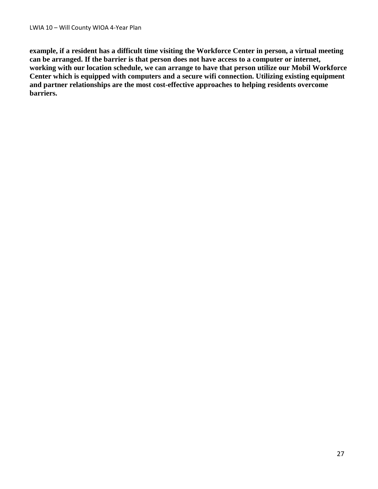**example, if a resident has a difficult time visiting the Workforce Center in person, a virtual meeting can be arranged. If the barrier is that person does not have access to a computer or internet, working with our location schedule, we can arrange to have that person utilize our Mobil Workforce Center which is equipped with computers and a secure wifi connection. Utilizing existing equipment and partner relationships are the most cost-effective approaches to helping residents overcome barriers.**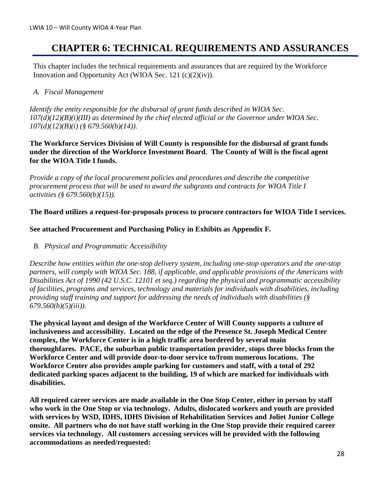### **CHAPTER 6: TECHNICAL REQUIREMENTS AND ASSURANCES**

This chapter includes the technical requirements and assurances that are required by the Workforce Innovation and Opportunity Act (WIOA Sec. 121 (c)(2)(iv)).

### *A. Fiscal Management*

*Identify the entity responsible for the disbursal of grant funds described in WIOA Sec. 107(d)(12)(B)(i)(III) as determined by the chief elected official or the Governor under WIOA Sec. 107(d)(12)(B)(i) (§ 679.560(b)(14)).*

#### **The Workforce Services Division of Will County is responsible for the disbursal of grant funds under the direction of the Workforce Investment Board. The County of Will is the fiscal agent for the WIOA Title I funds.**

*Provide a copy of the local procurement policies and procedures and describe the competitive procurement process that will be used to award the subgrants and contracts for WIOA Title I activities (§ 679.560(b)(15)).*

#### **The Board utilizes a request-for-proposals process to procure contractors for WIOA Title I services.**

### **See attached Procurement and Purchasing Policy in Exhibits as Appendix F.**

*B. Physical and Programmatic Accessibility*

*Describe how entities within the one-stop delivery system, including one-stop operators and the one-stop partners, will comply with WIOA Sec. 188, if applicable, and applicable provisions of the Americans with Disabilities Act of 1990 (42 U.S.C. 12101 et seq.) regarding the physical and programmatic accessibility of facilities, programs and services, technology and materials for individuals with disabilities, including providing staff training and support for addressing the needs of individuals with disabilities (§ 679.560(b)(5)(iii)).*

**The physical layout and design of the Workforce Center of Will County supports a culture of inclusiveness and accessibility. Located on the edge of the Presence St. Joseph Medical Center complex, the Workforce Center is in a high traffic area bordered by several main thoroughfares. PACE, the suburban public transportation provider, stops three blocks from the Workforce Center and will provide door-to-door service to/from numerous locations. The Workforce Center also provides ample parking for customers and staff, with a total of 292 dedicated parking spaces adjacent to the building, 19 of which are marked for individuals with disabilities.**

**All required career services are made available in the One Stop Center, either in person by staff who work in the One Stop or via technology. Adults, dislocated workers and youth are provided with services by WSD, IDHS, IDHS Division of Rehabilitation Services and Joliet Junior College onsite. All partners who do not have staff working in the One Stop provide their required career services via technology. All customers accessing services will be provided with the following accommodations as needed/requested:**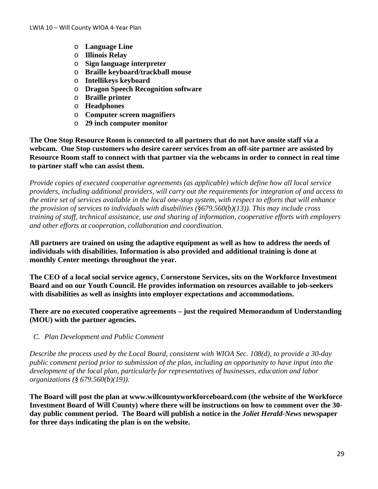- o **Language Line**
- o **Illinois Relay**
- o **Sign language interpreter**
- o **Braille keyboard/trackball mouse**
- o **Intellikeys keyboard**
- o **Dragon Speech Recognition software**
- o **Braille printer**
- o **Headphones**
- o **Computer screen magnifiers**
- o **29 inch computer monitor**

**The One Stop Resource Room is connected to all partners that do not have onsite staff via a webcam. One Stop customers who desire career services from an off-site partner are assisted by Resource Room staff to connect with that partner via the webcams in order to connect in real time to partner staff who can assist them.**

*Provide copies of executed cooperative agreements (as applicable) which define how all local service providers, including additional providers, will carry out the requirements for integration of and access to the entire set of services available in the local one-stop system, with respect to efforts that will enhance the provision of services to individuals with disabilities (§679.560(b)(13)). This may include cross training of staff, technical assistance, use and sharing of information, cooperative efforts with employers and other efforts at cooperation, collaboration and coordination.*

**All partners are trained on using the adaptive equipment as well as how to address the needs of individuals with disabilities. Information is also provided and additional training is done at monthly Center meetings throughout the year.** 

**The CEO of a local social service agency, Cornerstone Services, sits on the Workforce Investment Board and on our Youth Council. He provides information on resources available to job-seekers with disabilities as well as insights into employer expectations and accommodations.**

**There are no executed cooperative agreements – just the required Memorandum of Understanding (MOU) with the partner agencies.**

*C. Plan Development and Public Comment*

*Describe the process used by the Local Board, consistent with WIOA Sec. 108(d), to provide a 30-day public comment period prior to submission of the plan, including an opportunity to have input into the development of the local plan, particularly for representatives of businesses, education and labor organizations (§ 679.560(b)(19)).*

**The Board will post the plan at www.willcountyworkforceboard.com (the website of the Workforce Investment Board of Will County) where there will be instructions on how to comment over the 30 day public comment period. The Board will publish a notice in the** *Joliet Herald-News* **newspaper for three days indicating the plan is on the website.**